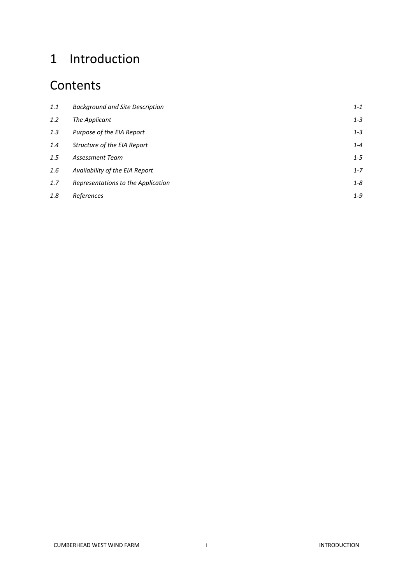# 1 Introduction

# **Contents**

| 1.1 | <b>Background and Site Description</b> | $1 - 1$ |
|-----|----------------------------------------|---------|
| 1.2 | The Applicant                          | $1 - 3$ |
| 1.3 | Purpose of the EIA Report              | $1 - 3$ |
| 1.4 | Structure of the EIA Report            | $1 - 4$ |
| 1.5 | <b>Assessment Team</b>                 | $1 - 5$ |
| 1.6 | Availability of the EIA Report         | $1 - 7$ |
| 1.7 | Representations to the Application     | $1 - 8$ |
| 1.8 | References                             | $1 - 9$ |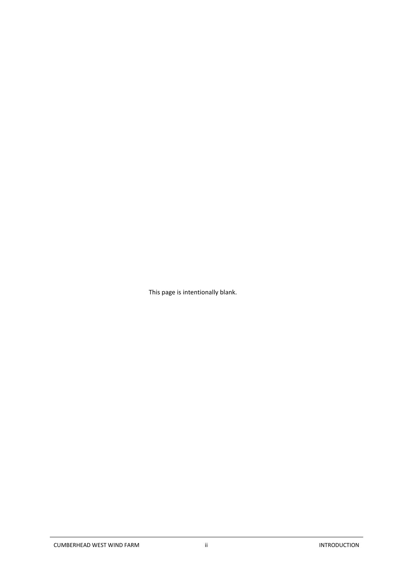This page is intentionally blank.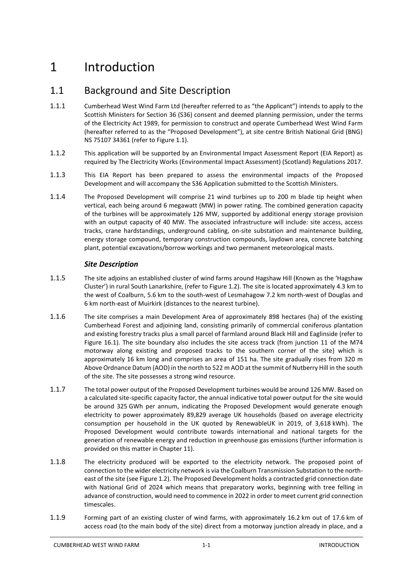## 1 Introduction

### <span id="page-2-0"></span>1.1 Background and Site Description

- 1.1.1 Cumberhead West Wind Farm Ltd (hereafter referred to as "the Applicant") intends to apply to the Scottish Ministers for Section 36 (S36) consent and deemed planning permission, under the terms of the Electricity Act 1989, for permission to construct and operate Cumberhead West Wind Farm (hereafter referred to as the "Proposed Development"), at site centre British National Grid (BNG) NS 75107 34361 (refer to Figure 1.1).
- 1.1.2 This application will be supported by an Environmental Impact Assessment Report (EIA Report) as required by The Electricity Works (Environmental Impact Assessment) (Scotland) Regulations 2017.
- 1.1.3 This EIA Report has been prepared to assess the environmental impacts of the Proposed Development and will accompany the S36 Application submitted to the Scottish Ministers.
- 1.1.4 The Proposed Development will comprise 21 wind turbines up to 200 m blade tip height when vertical, each being around 6 megawatt (MW) in power rating. The combined generation capacity of the turbines will be approximately 126 MW, supported by additional energy storage provision with an output capacity of 40 MW. The associated infrastructure will include: site access, access tracks, crane hardstandings, underground cabling, on-site substation and maintenance building, energy storage compound, temporary construction compounds, laydown area, concrete batching plant, potential excavations/borrow workings and two permanent meteorological masts.

#### *Site Description*

- 1.1.5 The site adjoins an established cluster of wind farms around Hagshaw Hill (Known as the 'Hagshaw Cluster') in rural South Lanarkshire, (refer to Figure 1.2). The site is located approximately 4.3 km to the west of Coalburn, 5.6 km to the south-west of Lesmahagow 7.2 km north-west of Douglas and 6 km north-east of Muirkirk (distances to the nearest turbine).
- 1.1.6 The site comprises a main Development Area of approximately 898 hectares (ha) of the existing Cumberhead Forest and adjoining land, consisting primarily of commercial coniferous plantation and existing forestry tracks plus a small parcel of farmland around Black Hill and Eaglinside (refer to Figure 16.1). The site boundary also includes the site access track (from junction 11 of the M74 motorway along existing and proposed tracks to the southern corner of the site) which is approximately 16 km long and comprises an area of 151 ha. The site gradually rises from 320 m Above Ordnance Datum (AOD) in the north to 522 m AOD at the summit of Nutberry Hill in the south of the site. The site possesses a strong wind resource.
- 1.1.7 The total power output of the Proposed Development turbines would be around 126 MW. Based on a calculated site-specific capacity factor, the annual indicative total power output for the site would be around 325 GWh per annum, indicating the Proposed Development would generate enough electricity to power approximately 89,829 average UK households (based on average electricity consumption per household in the UK quoted by RenewableUK in 2019, of 3,618 kWh). The Proposed Development would contribute towards international and national targets for the generation of renewable energy and reduction in greenhouse gas emissions (further information is provided on this matter in Chapter 11).
- 1.1.8 The electricity produced will be exported to the electricity network. The proposed point of connection to the wider electricity network is via the Coalburn Transmission Substation to the northeast of the site (see Figure 1.2). The Proposed Development holds a contracted grid connection date with National Grid of 2024 which means that preparatory works, beginning with tree felling in advance of construction, would need to commence in 2022 in order to meet current grid connection timescales.
- 1.1.9 Forming part of an existing cluster of wind farms, with approximately 16.2 km out of 17.6 km of access road (to the main body of the site) direct from a motorway junction already in place, and a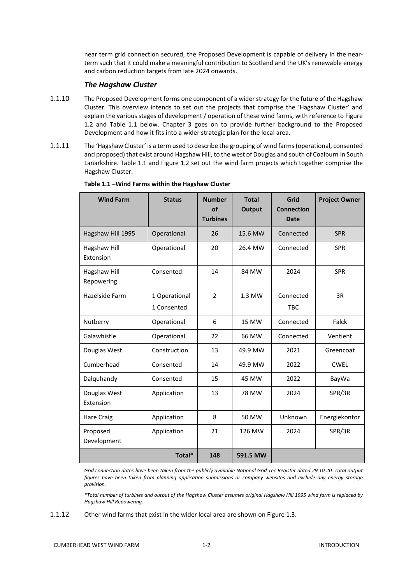near term grid connection secured, the Proposed Development is capable of delivery in the nearterm such that it could make a meaningful contribution to Scotland and the UK's renewable energy and carbon reduction targets from late 2024 onwards.

#### *The Hagshaw Cluster*

- 1.1.10 The Proposed Development forms one component of a wider strategy for the future of the Hagshaw Cluster. This overview intends to set out the projects that comprise the 'Hagshaw Cluster' and explain the various stages of development / operation of these wind farms, with reference to Figure 1.2 and Table 1.1 below. Chapter 3 goes on to provide further background to the Proposed Development and how it fits into a wider strategic plan for the local area.
- 1.1.11 The 'Hagshaw Cluster' is a term used to describe the grouping of wind farms (operational, consented and proposed) that exist around Hagshaw Hill, to the west of Douglas and south of Coalburn in South Lanarkshire. Table 1.1 and Figure 1.2 set out the wind farm projects which together comprise the Hagshaw Cluster.

| <b>Wind Farm</b>           | <b>Status</b> | <b>Number</b><br>of<br><b>Turbines</b> | <b>Total</b><br><b>Output</b> | Grid<br><b>Connection</b><br><b>Date</b> | <b>Project Owner</b> |
|----------------------------|---------------|----------------------------------------|-------------------------------|------------------------------------------|----------------------|
| Hagshaw Hill 1995          | Operational   | 26                                     | 15.6 MW                       | Connected                                | <b>SPR</b>           |
| Hagshaw Hill<br>Extension  | Operational   | 20                                     | 26.4 MW                       | Connected                                | <b>SPR</b>           |
| Hagshaw Hill<br>Repowering | Consented     | 14                                     | 84 MW                         | 2024                                     | <b>SPR</b>           |
| Hazelside Farm             | 1 Operational | $\overline{2}$                         | 1.3 MW                        | Connected                                | 3R                   |
|                            | 1 Consented   |                                        |                               | <b>TBC</b>                               |                      |
| Nutberry                   | Operational   | 6                                      | 15 MW                         | Connected                                | Falck                |
| Galawhistle                | Operational   | 22                                     | 66 MW                         | Connected                                | Ventient             |
| Douglas West               | Construction  | 13                                     | 49.9 MW                       | 2021                                     | Greencoat            |
| Cumberhead                 | Consented     | 14                                     | 49.9 MW                       | 2022                                     | <b>CWEL</b>          |
| Dalquhandy                 | Consented     | 15                                     | 45 MW                         | 2022                                     | BayWa                |
| Douglas West<br>Extension  | Application   | 13                                     | 78 MW                         | 2024                                     | SPR/3R               |
| <b>Hare Craig</b>          | Application   | 8                                      | 50 MW                         | Unknown                                  | Energiekontor        |
| Proposed<br>Development    | Application   | 21                                     | 126 MW                        | 2024                                     | SPR/3R               |
|                            | Total*        | 148                                    | 591.5 MW                      |                                          |                      |

#### **Table 1.1 –Wind Farms within the Hagshaw Cluster**

*Grid connection dates have been taken from the publicly available National Grid Tec Register dated 29.10.20. Total output figures have been taken from planning application submissions or company websites and exclude any energy storage provision.*

*\*Total number of turbines and output of the Hagshaw Cluster assumes original Hagshaw Hill 1995 wind farm is replaced by Hagshaw Hill Repowering.*

1.1.12 Other wind farms that exist in the wider local area are shown on Figure 1.3.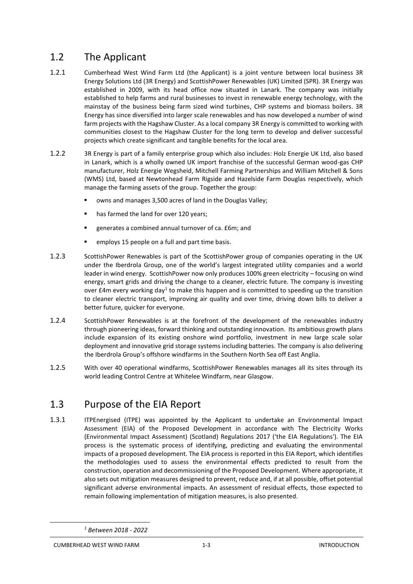### <span id="page-4-0"></span>1.2 The Applicant

- 1.2.1 Cumberhead West Wind Farm Ltd (the Applicant) is a joint venture between local business 3R Energy Solutions Ltd (3R Energy) and ScottishPower Renewables (UK) Limited (SPR). 3R Energy was established in 2009, with its head office now situated in Lanark. The company was initially established to help farms and rural businesses to invest in renewable energy technology, with the mainstay of the business being farm sized wind turbines, CHP systems and biomass boilers. 3R Energy has since diversified into larger scale renewables and has now developed a number of wind farm projects with the Hagshaw Cluster. As a local company 3R Energy is committed to working with communities closest to the Hagshaw Cluster for the long term to develop and deliver successful projects which create significant and tangible benefits for the local area.
- 1.2.2 3R Energy is part of a family enterprise group which also includes: Holz Energie UK Ltd, also based in Lanark, which is a wholly owned UK import franchise of the successful German wood-gas CHP manufacturer, Holz Energie Wegsheid, Mitchell Farming Partnerships and William Mitchell & Sons (WMS) Ltd, based at Newtonhead Farm Rigside and Hazelside Farm Douglas respectively, which manage the farming assets of the group. Together the group:
	- owns and manages 3,500 acres of land in the Douglas Valley;
	- has farmed the land for over 120 years;
	- generates a combined annual turnover of ca. £6m; and
	- employs 15 people on a full and part time basis.
- 1.2.3 ScottishPower Renewables is part of the ScottishPower group of companies operating in the UK under the Iberdrola Group, one of the world's largest integrated utility companies and a world leader in wind energy. ScottishPower now only produces 100% green electricity – focusing on wind energy, smart grids and driving the change to a cleaner, electric future. The company is investing over £4m every working day<sup>1</sup> to make this happen and is committed to speeding up the transition to cleaner electric transport, improving air quality and over time, driving down bills to deliver a better future, quicker for everyone.
- 1.2.4 ScottishPower Renewables is at the forefront of the development of the renewables industry through pioneering ideas, forward thinking and outstanding innovation. Its ambitious growth plans include expansion of its existing onshore wind portfolio, investment in new large scale solar deployment and innovative grid storage systems including batteries. The company is also delivering the Iberdrola Group's offshore windfarms in the Southern North Sea off East Anglia.
- 1.2.5 With over 40 operational windfarms, ScottishPower Renewables manages all its sites through its world leading Control Centre at Whitelee Windfarm, near Glasgow.

### <span id="page-4-1"></span>1.3 Purpose of the EIA Report

1.3.1 ITPEnergised (ITPE) was appointed by the Applicant to undertake an Environmental Impact Assessment (EIA) of the Proposed Development in accordance with The Electricity Works (Environmental Impact Assessment) (Scotland) Regulations 2017 ('the EIA Regulations'). The EIA process is the systematic process of identifying, predicting and evaluating the environmental impacts of a proposed development. The EIA process is reported in this EIA Report, which identifies the methodologies used to assess the environmental effects predicted to result from the construction, operation and decommissioning of the Proposed Development. Where appropriate, it also sets out mitigation measures designed to prevent, reduce and, if at all possible, offset potential significant adverse environmental impacts. An assessment of residual effects, those expected to remain following implementation of mitigation measures, is also presented.

*<sup>1</sup> Between 2018 - 2022*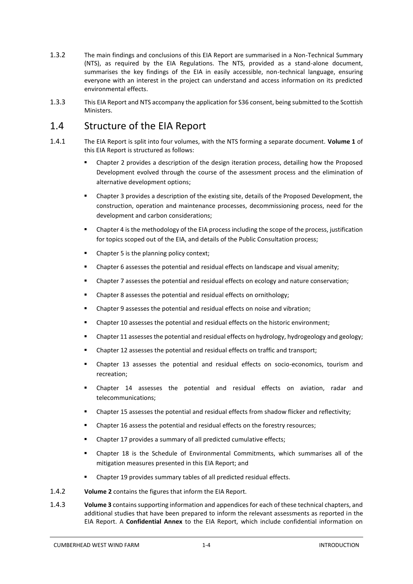- 1.3.2 The main findings and conclusions of this EIA Report are summarised in a Non-Technical Summary (NTS), as required by the EIA Regulations. The NTS, provided as a stand-alone document, summarises the key findings of the EIA in easily accessible, non-technical language, ensuring everyone with an interest in the project can understand and access information on its predicted environmental effects.
- 1.3.3 This EIA Report and NTS accompany the application for S36 consent, being submitted to the Scottish Ministers.

#### <span id="page-5-0"></span>1.4 Structure of the EIA Report

- 1.4.1 The EIA Report is split into four volumes, with the NTS forming a separate document. **Volume 1** of this EIA Report is structured as follows:
	- Chapter 2 provides a description of the design iteration process, detailing how the Proposed Development evolved through the course of the assessment process and the elimination of alternative development options;
	- Chapter 3 provides a description of the existing site, details of the Proposed Development, the construction, operation and maintenance processes, decommissioning process, need for the development and carbon considerations;
	- Chapter 4 is the methodology of the EIA process including the scope of the process, justification for topics scoped out of the EIA, and details of the Public Consultation process;
	- Chapter 5 is the planning policy context;
	- Chapter 6 assesses the potential and residual effects on landscape and visual amenity;
	- Chapter 7 assesses the potential and residual effects on ecology and nature conservation;
	- Chapter 8 assesses the potential and residual effects on ornithology;
	- Chapter 9 assesses the potential and residual effects on noise and vibration;
	- Chapter 10 assesses the potential and residual effects on the historic environment;
	- Chapter 11 assesses the potential and residual effects on hydrology, hydrogeology and geology;
	- Chapter 12 assesses the potential and residual effects on traffic and transport;
	- Chapter 13 assesses the potential and residual effects on socio-economics, tourism and recreation;
	- Chapter 14 assesses the potential and residual effects on aviation, radar and telecommunications;
	- **•** Chapter 15 assesses the potential and residual effects from shadow flicker and reflectivity;
	- Chapter 16 assess the potential and residual effects on the forestry resources;
	- Chapter 17 provides a summary of all predicted cumulative effects:
	- Chapter 18 is the Schedule of Environmental Commitments, which summarises all of the mitigation measures presented in this EIA Report; and
	- Chapter 19 provides summary tables of all predicted residual effects.
- 1.4.2 **Volume 2** contains the figures that inform the EIA Report.
- 1.4.3 **Volume 3** contains supporting information and appendices for each of these technical chapters, and additional studies that have been prepared to inform the relevant assessments as reported in the EIA Report. A **Confidential Annex** to the EIA Report, which include confidential information on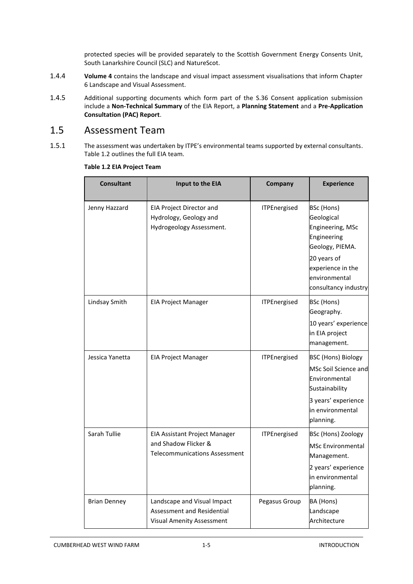protected species will be provided separately to the Scottish Government Energy Consents Unit, South Lanarkshire Council (SLC) and NatureScot.

- 1.4.4 **Volume 4** contains the landscape and visual impact assessment visualisations that inform Chapter 6 Landscape and Visual Assessment.
- 1.4.5 Additional supporting documents which form part of the S.36 Consent application submission include a **Non-Technical Summary** of the EIA Report, a **Planning Statement** and a **Pre-Application Consultation (PAC) Report**.

#### <span id="page-6-0"></span>1.5 Assessment Team

1.5.1 The assessment was undertaken by ITPE's environmental teams supported by external consultants. Table 1.2 outlines the full EIA team.

| <b>Consultant</b>   | Input to the EIA                                                                                     | Company             | <b>Experience</b>                                                                                                                                           |
|---------------------|------------------------------------------------------------------------------------------------------|---------------------|-------------------------------------------------------------------------------------------------------------------------------------------------------------|
| Jenny Hazzard       | <b>EIA Project Director and</b><br>Hydrology, Geology and<br>Hydrogeology Assessment.                | <b>ITPEnergised</b> | BSc (Hons)<br>Geological<br>Engineering, MSc<br>Engineering<br>Geology, PIEMA.<br>20 years of<br>experience in the<br>environmental<br>consultancy industry |
| Lindsay Smith       | <b>EIA Project Manager</b>                                                                           | <b>ITPEnergised</b> | BSc (Hons)<br>Geography.                                                                                                                                    |
|                     |                                                                                                      |                     | 10 years' experience<br>in EIA project<br>management.                                                                                                       |
| Jessica Yanetta     | <b>EIA Project Manager</b>                                                                           | <b>ITPEnergised</b> | <b>BSC (Hons) Biology</b><br>MSc Soil Science and<br>Environmental<br>Sustainability                                                                        |
|                     |                                                                                                      |                     | 3 years' experience<br>in environmental<br>planning.                                                                                                        |
| Sarah Tullie        | <b>EIA Assistant Project Manager</b><br>and Shadow Flicker &<br><b>Telecommunications Assessment</b> | <b>ITPEnergised</b> | BSc (Hons) Zoology<br><b>MSc Environmental</b><br>Management.<br>2 years' experience<br>in environmental<br>planning.                                       |
| <b>Brian Denney</b> | Landscape and Visual Impact<br>Assessment and Residential<br><b>Visual Amenity Assessment</b>        | Pegasus Group       | BA (Hons)<br>Landscape<br>Architecture                                                                                                                      |

#### **Table 1.2 EIA Project Team**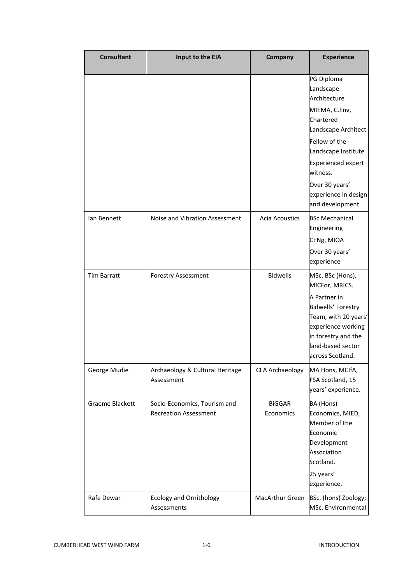| <b>Consultant</b>  | Input to the EIA                                             | Company                    | <b>Experience</b>                                                                                                                                                                                                                           |
|--------------------|--------------------------------------------------------------|----------------------------|---------------------------------------------------------------------------------------------------------------------------------------------------------------------------------------------------------------------------------------------|
|                    |                                                              |                            | PG Diploma<br>Landscape<br>Architecture<br>MIEMA, C.Env,<br>Chartered<br>Landscape Architect<br>Fellow of the<br>Landscape Institute<br><b>Experienced expert</b><br>witness.<br>Over 30 years'<br>experience in design<br>and development. |
| lan Bennett        | Noise and Vibration Assessment                               | <b>Acia Acoustics</b>      | <b>BSc Mechanical</b><br>Engineering<br>CENg, MIOA<br>Over 30 years'<br>experience                                                                                                                                                          |
| <b>Tim Barratt</b> | <b>Forestry Assessment</b>                                   | <b>Bidwells</b>            | MSc. BSc (Hons),<br>MICFor, MRICS.<br>A Partner in<br>Bidwells' Forestry<br>Team, with 20 years'<br>experience working<br>in forestry and the<br>land-based sector<br>across Scotland.                                                      |
| George Mudie       | Archaeology & Cultural Heritage<br>Assessment                | <b>CFA Archaeology</b>     | MA Hons, MCIfA,<br>FSA Scotland, 15<br>years' experience.                                                                                                                                                                                   |
| Graeme Blackett    | Socio-Economics, Tourism and<br><b>Recreation Assessment</b> | <b>BiGGAR</b><br>Economics | BA (Hons)<br>Economics, MIED,<br>Member of the<br>Economic<br>Development<br>Association<br>Scotland.<br>25 years'<br>experience.                                                                                                           |
| Rafe Dewar         | <b>Ecology and Ornithology</b><br>Assessments                | MacArthur Green            | BSc. (hons) Zoology;<br>MSc. Environmental                                                                                                                                                                                                  |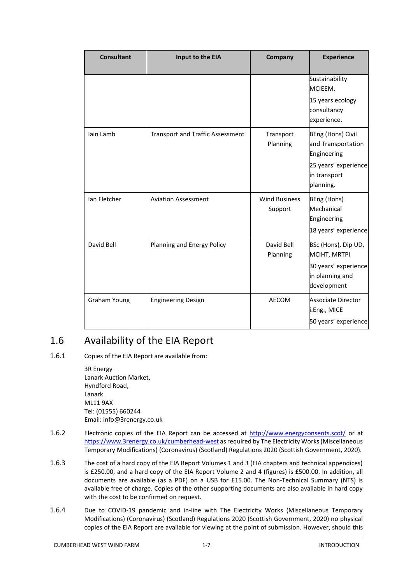| <b>Consultant</b>   | Input to the EIA                        | Company                         | <b>Experience</b>                                                                                           |
|---------------------|-----------------------------------------|---------------------------------|-------------------------------------------------------------------------------------------------------------|
|                     |                                         |                                 | Sustainability<br>MCIEEM.                                                                                   |
|                     |                                         |                                 | 15 years ecology<br>consultancy<br>experience.                                                              |
| lain Lamb           | <b>Transport and Traffic Assessment</b> | Transport<br>Planning           | BEng (Hons) Civil<br>and Transportation<br>Engineering<br>25 years' experience<br>in transport<br>planning. |
| Ian Fletcher        | <b>Aviation Assessment</b>              | <b>Wind Business</b><br>Support | BEng (Hons)<br>Mechanical<br>Engineering<br>18 years' experience                                            |
| David Bell          | Planning and Energy Policy              | David Bell<br>Planning          | BSc (Hons), Dip UD,<br>MCIHT, MRTPI<br>30 years' experience<br>in planning and<br>development               |
| <b>Graham Young</b> | <b>Engineering Design</b>               | AECOM                           | <b>Associate Director</b><br>i.Eng., MICE<br>50 years' experience                                           |

### <span id="page-8-0"></span>1.6 Availability of the EIA Report

1.6.1 Copies of the EIA Report are available from:

3R Energy Lanark Auction Market, Hyndford Road, Lanark ML11 9AX Tel: (01555) 660244 Email: info@3renergy.co.uk

- 1.6.2 Electronic copies of the EIA Report can be accessed at<http://www.energyconsents.scot/> or at <https://www.3renergy.co.uk/cumberhead-west> as required by The Electricity Works (Miscellaneous Temporary Modifications) (Coronavirus) (Scotland) Regulations 2020 (Scottish Government, 2020).
- 1.6.3 The cost of a hard copy of the EIA Report Volumes 1 and 3 (EIA chapters and technical appendices) is £250.00, and a hard copy of the EIA Report Volume 2 and 4 (figures) is £500.00. In addition, all documents are available (as a PDF) on a USB for £15.00. The Non-Technical Summary (NTS) is available free of charge. Copies of the other supporting documents are also available in hard copy with the cost to be confirmed on request.
- 1.6.4 Due to COVID-19 pandemic and in-line with The Electricity Works (Miscellaneous Temporary Modifications) (Coronavirus) (Scotland) Regulations 2020 (Scottish Government, 2020) no physical copies of the EIA Report are available for viewing at the point of submission. However, should this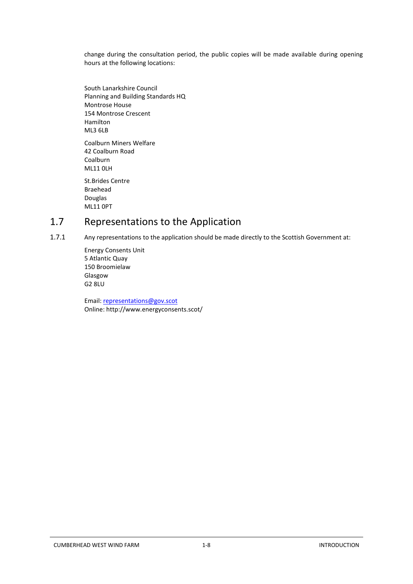change during the consultation period, the public copies will be made available during opening hours at the following locations:

South Lanarkshire Council Planning and Building Standards HQ Montrose House 154 Montrose Crescent Hamilton ML3 6LB

Coalburn Miners Welfare 42 Coalburn Road Coalburn ML11 0LH

St.Brides Centre Braehead Douglas ML11 0PT

#### <span id="page-9-0"></span>1.7 Representations to the Application

- 1.7.1 Any representations to the application should be made directly to the Scottish Government at:
	- Energy Consents Unit 5 Atlantic Quay 150 Broomielaw Glasgow G2 8LU

<span id="page-9-1"></span>Email: [representations@gov.scot](mailto:representations@gov.scot) Online: http://www.energyconsents.scot/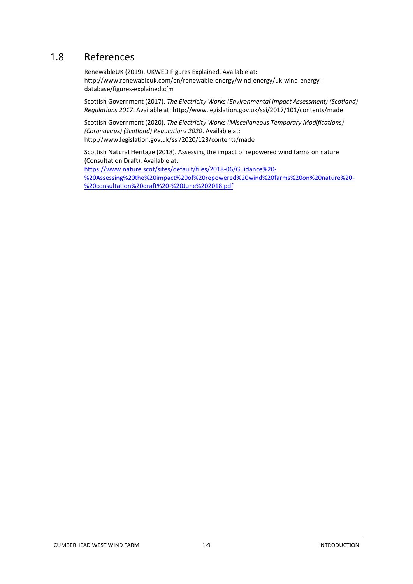#### 1.8 References

RenewableUK (2019). UKWED Figures Explained. Available at: http://www.renewableuk.com/en/renewable-energy/wind-energy/uk-wind-energydatabase/figures-explained.cfm

Scottish Government (2017). *The Electricity Works (Environmental Impact Assessment) (Scotland) Regulations 2017*. Available at: http://www.legislation.gov.uk/ssi/2017/101/contents/made

Scottish Government (2020). *The Electricity Works (Miscellaneous Temporary Modifications) (Coronavirus) (Scotland) Regulations 2020*. Available at: http://www.legislation.gov.uk/ssi/2020/123/contents/made

Scottish Natural Heritage (2018). Assessing the impact of repowered wind farms on nature (Consultation Draft). Available at:

[https://www.nature.scot/sites/default/files/2018-06/Guidance%20-](https://www.nature.scot/sites/default/files/2018-06/Guidance%20-%20Assessing%20the%20impact%20of%20repowered%20wind%20farms%20on%20nature%20-%20consultation%20draft%20-%20June%202018.pdf) [%20Assessing%20the%20impact%20of%20repowered%20wind%20farms%20on%20nature%20-](https://www.nature.scot/sites/default/files/2018-06/Guidance%20-%20Assessing%20the%20impact%20of%20repowered%20wind%20farms%20on%20nature%20-%20consultation%20draft%20-%20June%202018.pdf) [%20consultation%20draft%20-%20June%202018.pdf](https://www.nature.scot/sites/default/files/2018-06/Guidance%20-%20Assessing%20the%20impact%20of%20repowered%20wind%20farms%20on%20nature%20-%20consultation%20draft%20-%20June%202018.pdf)